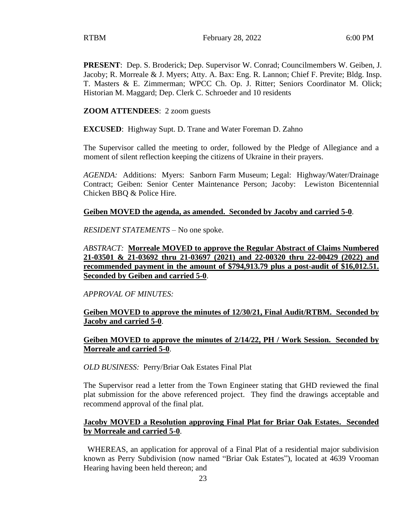**PRESENT**: Dep. S. Broderick; Dep. Supervisor W. Conrad; Councilmembers W. Geiben, J. Jacoby; R. Morreale & J. Myers; Atty. A. Bax: Eng. R. Lannon; Chief F. Previte; Bldg. Insp. T. Masters & E. Zimmerman; WPCC Ch. Op. J. Ritter; Seniors Coordinator M. Olick; Historian M. Maggard; Dep. Clerk C. Schroeder and 10 residents

#### **ZOOM ATTENDEES**: 2 zoom guests

**EXCUSED**: Highway Supt. D. Trane and Water Foreman D. Zahno

The Supervisor called the meeting to order, followed by the Pledge of Allegiance and a moment of silent reflection keeping the citizens of Ukraine in their prayers.

*AGENDA:* Additions: Myers: Sanborn Farm Museum; Legal: Highway/Water/Drainage Contract; Geiben: Senior Center Maintenance Person; Jacoby: Lewiston Bicentennial Chicken BBQ & Police Hire.

#### **Geiben MOVED the agenda, as amended. Seconded by Jacoby and carried 5-0**.

*RESIDENT STATEMENTS* – No one spoke.

*ABSTRACT:* **Morreale MOVED to approve the Regular Abstract of Claims Numbered 21-03501 & 21-03692 thru 21-03697 (2021) and 22-00320 thru 22-00429 (2022) and recommended payment in the amount of \$794,913.79 plus a post-audit of \$16,012.51. Seconded by Geiben and carried 5-0**.

*APPROVAL OF MINUTES:* 

**Geiben MOVED to approve the minutes of 12/30/21, Final Audit/RTBM. Seconded by Jacoby and carried 5-0**.

#### **Geiben MOVED to approve the minutes of 2/14/22, PH / Work Session. Seconded by Morreale and carried 5-0**.

*OLD BUSINESS:* Perry/Briar Oak Estates Final Plat

The Supervisor read a letter from the Town Engineer stating that GHD reviewed the final plat submission for the above referenced project. They find the drawings acceptable and recommend approval of the final plat.

#### **Jacoby MOVED a Resolution approving Final Plat for Briar Oak Estates. Seconded by Morreale and carried 5-0**.

WHEREAS, an application for approval of a Final Plat of a residential major subdivision known as Perry Subdivision (now named "Briar Oak Estates"), located at 4639 Vrooman Hearing having been held thereon; and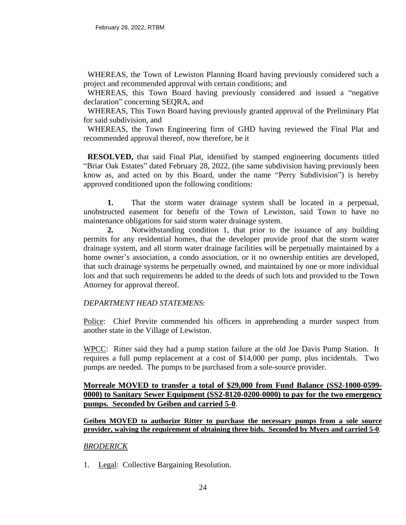WHEREAS, the Town of Lewiston Planning Board having previously considered such a project and recommended approval with certain conditions; and

WHEREAS, this Town Board having previously considered and issued a "negative" declaration" concerning SEQRA, and

 WHEREAS, This Town Board having previously granted approval of the Preliminary Plat for said subdivision, and

WHEREAS, the Town Engineering firm of GHD having reviewed the Final Plat and recommended approval thereof, now therefore, be it

 **RESOLVED,** that said Final Plat, identified by stamped engineering documents titled "Briar Oak Estates" dated February 28, 2022, (the same subdivision having previously been know as, and acted on by this Board, under the name "Perry Subdivision") is hereby approved conditioned upon the following conditions:

**1.** That the storm water drainage system shall be located in a perpetual, unobstructed easement for benefit of the Town of Lewiston, said Town to have no maintenance obligations for said storm water drainage system.

**2.** Notwithstanding condition 1, that prior to the issuance of any building permits for any residential homes, that the developer provide proof that the storm water drainage system, and all storm water drainage facilities will be perpetually maintained by a home owner's association, a condo association, or it no ownership entities are developed, that such drainage systems be perpetually owned, and maintained by one or more individual lots and that such requirements be added to the deeds of such lots and provided to the Town Attorney for approval thereof.

# *DEPARTMENT HEAD STATEMENS*:

Police: Chief Previte commended his officers in apprehending a murder suspect from another state in the Village of Lewiston.

WPCC: Ritter said they had a pump station failure at the old Joe Davis Pump Station. It requires a full pump replacement at a cost of \$14,000 per pump, plus incidentals. Two pumps are needed. The pumps to be purchased from a sole-source provider.

**Morreale MOVED to transfer a total of \$29,000 from Fund Balance (SS2-1000-0599- 0000) to Sanitary Sewer Equipment (SS2-8120-0200-0000) to pay for the two emergency pumps. Seconded by Geiben and carried 5-0**.

**Geiben MOVED to authorize Ritter to purchase the necessary pumps from a sole source provider, waiving the requirement of obtaining three bids. Seconded by Myers and carried 5-0**.

#### *BRODERICK*

1. Legal: Collective Bargaining Resolution.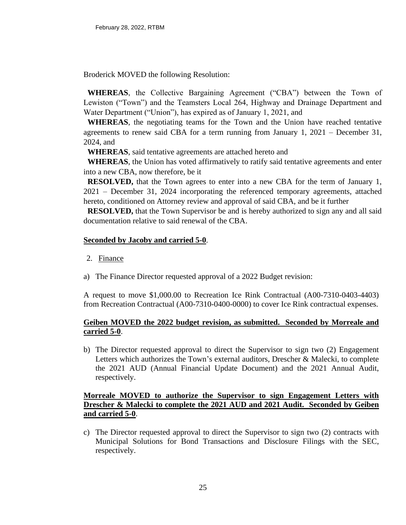Broderick MOVED the following Resolution:

 **WHEREAS**, the Collective Bargaining Agreement ("CBA") between the Town of Lewiston ("Town") and the Teamsters Local 264, Highway and Drainage Department and Water Department ("Union"), has expired as of January 1, 2021, and

 **WHEREAS**, the negotiating teams for the Town and the Union have reached tentative agreements to renew said CBA for a term running from January 1, 2021 – December 31, 2024, and

 **WHEREAS**, said tentative agreements are attached hereto and

 **WHEREAS**, the Union has voted affirmatively to ratify said tentative agreements and enter into a new CBA, now therefore, be it

 **RESOLVED,** that the Town agrees to enter into a new CBA for the term of January 1, 2021 – December 31, 2024 incorporating the referenced temporary agreements, attached hereto, conditioned on Attorney review and approval of said CBA, and be it further

 **RESOLVED,** that the Town Supervisor be and is hereby authorized to sign any and all said documentation relative to said renewal of the CBA.

## **Seconded by Jacoby and carried 5-0**.

- 2. Finance
- a) The Finance Director requested approval of a 2022 Budget revision:

A request to move \$1,000.00 to Recreation Ice Rink Contractual (A00-7310-0403-4403) from Recreation Contractual (A00-7310-0400-0000) to cover Ice Rink contractual expenses.

# **Geiben MOVED the 2022 budget revision, as submitted. Seconded by Morreale and carried 5-0**.

b) The Director requested approval to direct the Supervisor to sign two (2) Engagement Letters which authorizes the Town's external auditors, Drescher & Malecki, to complete the 2021 AUD (Annual Financial Update Document) and the 2021 Annual Audit, respectively.

## **Morreale MOVED to authorize the Supervisor to sign Engagement Letters with Drescher & Malecki to complete the 2021 AUD and 2021 Audit. Seconded by Geiben and carried 5-0**.

c) The Director requested approval to direct the Supervisor to sign two (2) contracts with Municipal Solutions for Bond Transactions and Disclosure Filings with the SEC, respectively.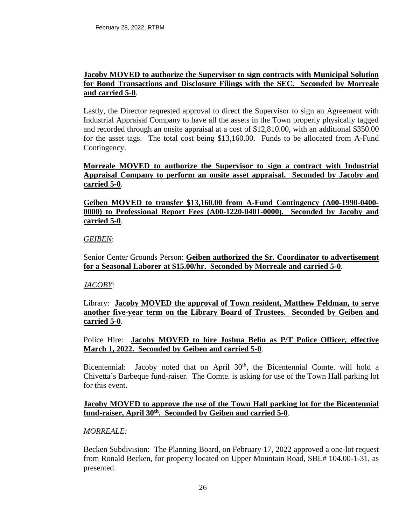#### **Jacoby MOVED to authorize the Supervisor to sign contracts with Municipal Solution for Bond Transactions and Disclosure Filings with the SEC. Seconded by Morreale and carried 5-0**.

Lastly, the Director requested approval to direct the Supervisor to sign an Agreement with Industrial Appraisal Company to have all the assets in the Town properly physically tagged and recorded through an onsite appraisal at a cost of \$12,810.00, with an additional \$350.00 for the asset tags. The total cost being \$13,160.00. Funds to be allocated from A-Fund Contingency.

# **Morreale MOVED to authorize the Supervisor to sign a contract with Industrial Appraisal Company to perform an onsite asset appraisal. Seconded by Jacoby and carried 5-0**.

## **Geiben MOVED to transfer \$13,160.00 from A-Fund Contingency (A00-1990-0400- 0000) to Professional Report Fees (A00-1220-0401-0000). Seconded by Jacoby and carried 5-0**.

## *GEIBEN*:

Senior Center Grounds Person: **Geiben authorized the Sr. Coordinator to advertisement for a Seasonal Laborer at \$15.00/hr. Seconded by Morreale and carried 5-0**.

# *JACOBY:*

Library: **Jacoby MOVED the approval of Town resident, Matthew Feldman, to serve another five-year term on the Library Board of Trustees. Seconded by Geiben and carried 5-0**.

## Police Hire: **Jacoby MOVED to hire Joshua Belin as P/T Police Officer, effective March 1, 2022. Seconded by Geiben and carried 5-0**.

Bicentennial: Jacoby noted that on April  $30<sup>th</sup>$ , the Bicentennial Comte. will hold a Chivetta's Barbeque fund-raiser. The Comte. is asking for use of the Town Hall parking lot for this event.

## **Jacoby MOVED to approve the use of the Town Hall parking lot for the Bicentennial fund-raiser, April 30th . Seconded by Geiben and carried 5-0**.

#### *MORREALE:*

Becken Subdivision: The Planning Board, on February 17, 2022 approved a one-lot request from Ronald Becken, for property located on Upper Mountain Road, SBL# 104.00-1-31, as presented.